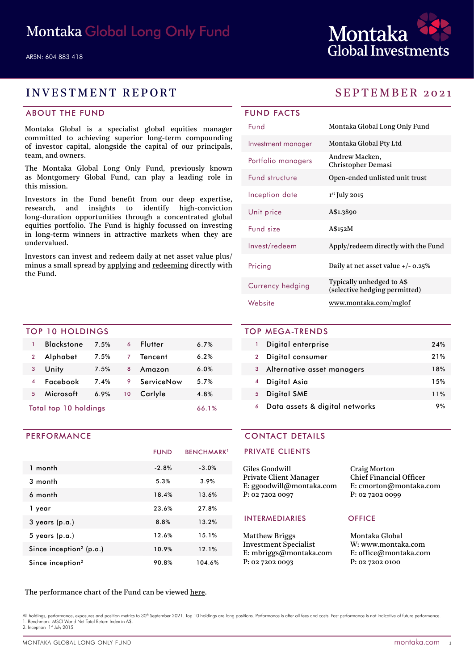

# INVESTMENT REPORT SEPTEMBER 2021

# ABOUT THE FUND

Montaka Global is a specialist global equities manager committed to achieving superior long-term compounding of investor capital, alongside the capital of our principals, team, and owners.

The Montaka Global Long Only Fund, previously known as Montgomery Global Fund, can play a leading role in this mission.

Investors in the Fund benefit from our deep expertise, research, and insights to identify high-conviction long-duration opportunities through a concentrated global equities portfolio. The Fund is highly focussed on investing in long-term winners in attractive markets when they are undervalued.

Investors can invest and redeem daily at net asset value plus/ minus a small spread by [applying](https://fundhost.olivia123.com/fundhost/montaka-global-long-only-fund.php) and [redeeming](https://fundhost.com.au/investor-login/) directly with the Fund.

## TOP 10 HOLDINGS

| Total top 10 holdings |                   |      |    | 66.1%      |      |  |
|-----------------------|-------------------|------|----|------------|------|--|
| 5                     | Microsoft         | 6.9% | 10 | Carlyle    | 4.8% |  |
|                       | Facebook          | 7.4% | 9  | ServiceNow | 5.7% |  |
| 3                     | Unity             | 7.5% | 8  | Amazon     | 6.0% |  |
| $\overline{2}$        | Alphabet          | 7.5% | 7  | Tencent    | 6.2% |  |
| 1                     | <b>Blackstone</b> | 7.5% | 6  | Flutter    | 6.7% |  |
|                       |                   |      |    |            |      |  |

### PERFORMANCE

|                                     | <b>FUND</b> | <b>BENCHMARK</b> <sup>1</sup> |
|-------------------------------------|-------------|-------------------------------|
| 1 month                             | $-2.8%$     | $-3.0%$                       |
| 3 month                             | 5.3%        | 3.9%                          |
| 6 month                             | 18.4%       | 13.6%                         |
| 1 year                              | 23.6%       | 27.8%                         |
| $3$ years (p.a.)                    | 8.8%        | 13.2%                         |
| $5$ years (p.a.)                    | 12.6%       | 15.1%                         |
| Since inception <sup>2</sup> (p.a.) | 10.9%       | 12.1%                         |
| Since inception <sup>2</sup>        | 90.8%       | 104.6%                        |

| <b>FUND FACTS</b>  |                                                            |  |  |  |
|--------------------|------------------------------------------------------------|--|--|--|
| Fund               | Montaka Global Long Only Fund                              |  |  |  |
| Investment manager | Montaka Global Pty Ltd                                     |  |  |  |
| Portfolio managers | Andrew Macken,<br>Christopher Demasi                       |  |  |  |
| Fund structure     | Open-ended unlisted unit trust                             |  |  |  |
| Inception date     | $1st$ July 2015                                            |  |  |  |
| Unit price         | A\$1.3890                                                  |  |  |  |
| Fund size          | A\$152M                                                    |  |  |  |
| Invest/redeem      | Apply/redeem directly with the Fund                        |  |  |  |
| Pricing            | Daily at net asset value $+/- 0.25\%$                      |  |  |  |
| Currency hedging   | Typically unhedged to A\$<br>(selective hedging permitted) |  |  |  |
| Website            | www.montaka.com/mglof                                      |  |  |  |

# TOP MEGA-TRENDS 1 Digital enterprise 24%

|                | Digital consumer               | 21% |
|----------------|--------------------------------|-----|
| $3^{\circ}$    | Alternative asset managers     | 18% |
|                | 4 Digital Asia                 | 15% |
| 5 <sup>1</sup> | <b>Digital SME</b>             | 11% |
|                | Data assets & digital networks | 9%  |

# CONTACT DETAILS

### PRIVATE CLIENTS

| Giles Goodwill                | <b>Craig Morton</b>            |
|-------------------------------|--------------------------------|
| <b>Private Client Manager</b> | <b>Chief Financial Officer</b> |
| E: ggoodwill@montaka.com      | E: cmorton@montaka.co          |
| P: 02 7202 0097               | P: 0272020099                  |
|                               |                                |

### INTERMEDIARIES OFFICE

Matthew Briggs Investment Specialist E: mbriggs@montaka.com P: 02 7202 0093

E: cmorton@montaka.com

Montaka Global W: [www.montaka.com](http://www.montaka.com) E: office@montaka.com P: 02 7202 0100

### The performance chart of the Fund can be viewed [here](https://montaka.com/our-philosophy/montaka-global-long-only/montaka-global-long-only-fund/).

All holdings, performance, exposures and position metrics to 30<sup>th</sup> September 2021. Top 10 holdings are long positions. Performance is after all fees and costs. Past performance is not indicative of future performance 1. Benchmark MSCI World Net Total Return Index in A\$. 2. Inception 1st July 2015.